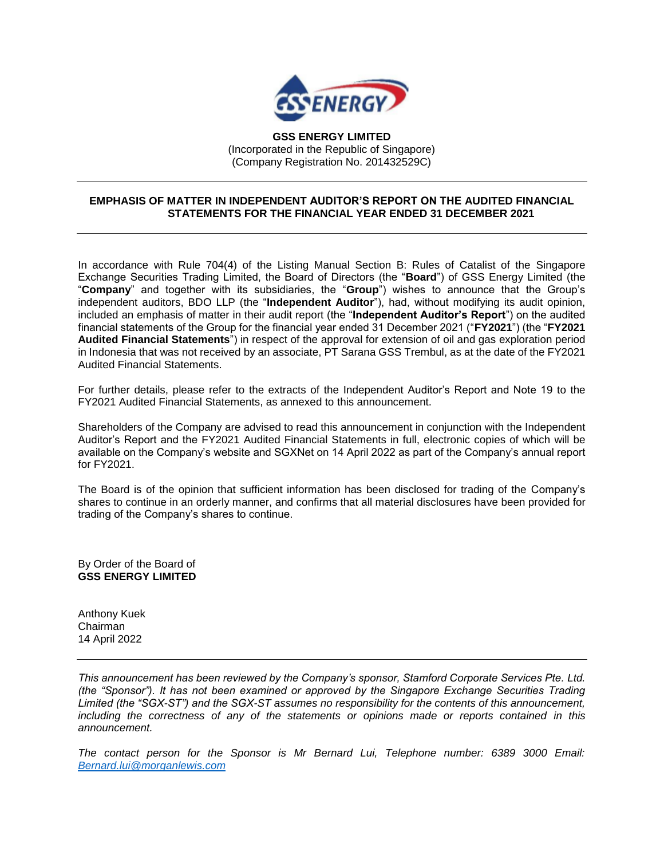

**GSS ENERGY LIMITED** (Incorporated in the Republic of Singapore) (Company Registration No. 201432529C)

## **EMPHASIS OF MATTER IN INDEPENDENT AUDITOR'S REPORT ON THE AUDITED FINANCIAL STATEMENTS FOR THE FINANCIAL YEAR ENDED 31 DECEMBER 2021**

In accordance with Rule 704(4) of the Listing Manual Section B: Rules of Catalist of the Singapore Exchange Securities Trading Limited, the Board of Directors (the "**Board**") of GSS Energy Limited (the "**Company**" and together with its subsidiaries, the "**Group**") wishes to announce that the Group's independent auditors, BDO LLP (the "**Independent Auditor**"), had, without modifying its audit opinion, included an emphasis of matter in their audit report (the "**Independent Auditor's Report**") on the audited financial statements of the Group for the financial year ended 31 December 2021 ("**FY2021**") (the "**FY2021 Audited Financial Statements**") in respect of the approval for extension of oil and gas exploration period in Indonesia that was not received by an associate, PT Sarana GSS Trembul, as at the date of the FY2021 Audited Financial Statements.

For further details, please refer to the extracts of the Independent Auditor's Report and Note 19 to the FY2021 Audited Financial Statements, as annexed to this announcement.

Shareholders of the Company are advised to read this announcement in conjunction with the Independent Auditor's Report and the FY2021 Audited Financial Statements in full, electronic copies of which will be available on the Company's website and SGXNet on 14 April 2022 as part of the Company's annual report for FY2021.

The Board is of the opinion that sufficient information has been disclosed for trading of the Company's shares to continue in an orderly manner, and confirms that all material disclosures have been provided for trading of the Company's shares to continue.

By Order of the Board of **GSS ENERGY LIMITED**

Anthony Kuek Chairman 14 April 2022

*This announcement has been reviewed by the Company's sponsor, Stamford Corporate Services Pte. Ltd. (the "Sponsor"). It has not been examined or approved by the Singapore Exchange Securities Trading Limited (the "SGX-ST") and the SGX-ST assumes no responsibility for the contents of this announcement, including the correctness of any of the statements or opinions made or reports contained in this announcement.* 

*The contact person for the Sponsor is Mr Bernard Lui, Telephone number: 6389 3000 Email: [Bernard.lui@morganlewis.com](mailto:Bernard.lui@morganlewis.com)*